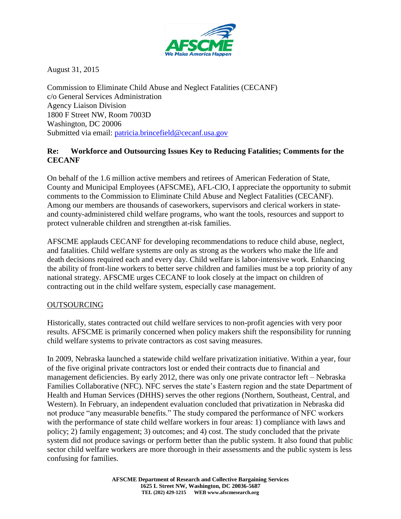

August 31, 2015

Commission to Eliminate Child Abuse and Neglect Fatalities (CECANF) c/o General Services Administration Agency Liaison Division 1800 F Street NW, Room 7003D Washington, DC 20006 Submitted via email: [patricia.brincefield@cecanf.usa.gov](mailto:patricia.brincefield@cecanf.usa.gov)

#### **Re: Workforce and Outsourcing Issues Key to Reducing Fatalities; Comments for the CECANF**

On behalf of the 1.6 million active members and retirees of American Federation of State, County and Municipal Employees (AFSCME), AFL-CIO, I appreciate the opportunity to submit comments to the Commission to Eliminate Child Abuse and Neglect Fatalities (CECANF). Among our members are thousands of caseworkers, supervisors and clerical workers in stateand county-administered child welfare programs, who want the tools, resources and support to protect vulnerable children and strengthen at-risk families.

AFSCME applauds CECANF for developing recommendations to reduce child abuse, neglect, and fatalities. Child welfare systems are only as strong as the workers who make the life and death decisions required each and every day. Child welfare is labor-intensive work. Enhancing the ability of front-line workers to better serve children and families must be a top priority of any national strategy. AFSCME urges CECANF to look closely at the impact on children of contracting out in the child welfare system, especially case management.

# OUTSOURCING

Historically, states contracted out child welfare services to non-profit agencies with very poor results. AFSCME is primarily concerned when policy makers shift the responsibility for running child welfare systems to private contractors as cost saving measures.

In 2009, Nebraska launched a statewide child welfare privatization initiative. Within a year, four of the five original private contractors lost or ended their contracts due to financial and management deficiencies. By early 2012, there was only one private contractor left – Nebraska Families Collaborative (NFC). NFC serves the state's Eastern region and the state Department of Health and Human Services (DHHS) serves the other regions (Northern, Southeast, Central, and Western). In February, an independent evaluation concluded that privatization in Nebraska did not produce "any measurable benefits." The study compared the performance of NFC workers with the performance of state child welfare workers in four areas: 1) compliance with laws and policy; 2) family engagement; 3) outcomes; and 4) cost. The study concluded that the private system did not produce savings or perform better than the public system. It also found that public sector child welfare workers are more thorough in their assessments and the public system is less confusing for families.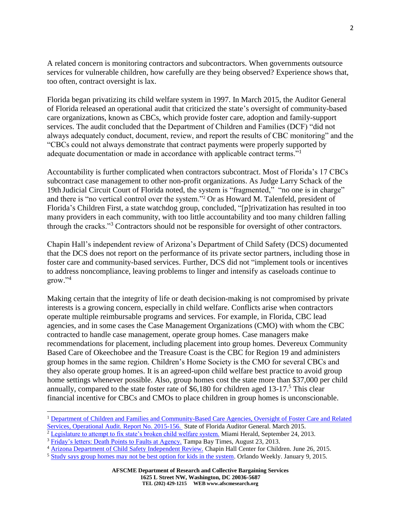A related concern is monitoring contractors and subcontractors. When governments outsource services for vulnerable children, how carefully are they being observed? Experience shows that, too often, contract oversight is lax.

Florida began privatizing its child welfare system in 1997. In March 2015, the Auditor General of Florida released an operational audit that criticized the state's oversight of community-based care organizations, known as CBCs, which provide foster care, adoption and family-support services. The audit concluded that the Department of Children and Families (DCF) "did not always adequately conduct, document, review, and report the results of CBC monitoring" and the "CBCs could not always demonstrate that contract payments were properly supported by adequate documentation or made in accordance with applicable contract terms."<sup>1</sup>

Accountability is further complicated when contractors subcontract. Most of Florida's 17 CBCs subcontract case management to other non-profit organizations. As Judge Larry Schack of the 19th Judicial Circuit Court of Florida noted, the system is "fragmented," "no one is in charge" and there is "no vertical control over the system."<sup>2</sup> Or as Howard M. Talenfeld, president of Florida's Children First, a state watchdog group, concluded, "[p]rivatization has resulted in too many providers in each community, with too little accountability and too many children falling through the cracks."<sup>3</sup> Contractors should not be responsible for oversight of other contractors.

Chapin Hall's independent review of Arizona's Department of Child Safety (DCS) documented that the DCS does not report on the performance of its private sector partners, including those in foster care and community-based services. Further, DCS did not "implement tools or incentives to address noncompliance, leaving problems to linger and intensify as caseloads continue to grow."<sup>4</sup>

Making certain that the integrity of life or death decision-making is not compromised by private interests is a growing concern, especially in child welfare. Conflicts arise when contractors operate multiple reimbursable programs and services. For example, in Florida, CBC lead agencies, and in some cases the Case Management Organizations (CMO) with whom the CBC contracted to handle case management, operate group homes. Case managers make recommendations for placement, including placement into group homes. Devereux Community Based Care of Okeechobee and the Treasure Coast is the CBC for Region 19 and administers group homes in the same region. Children's Home Society is the CMO for several CBCs and they also operate group homes. It is an agreed-upon child welfare best practice to avoid group home settings whenever possible. Also, group homes cost the state more than \$37,000 per child annually, compared to the state foster rate of \$6,180 for children aged 13-17. <sup>5</sup> This clear financial incentive for CBCs and CMOs to place children in group homes is unconscionable.

l

<sup>&</sup>lt;sup>1</sup> Department of Children and Families and Community-Based Care Agencies, Oversight of Foster Care and Related [Services, Operational Audit. Report No. 2015-156.](http://www.myflorida.com/audgen/pages/pdf_files/2015-156.pdf) State of Florida Auditor General. March 2015.

<sup>&</sup>lt;sup>2</sup> [Legislature to attempt to fix state's broken child welfare system.](http://www.miamiherald.com/2013/09/24/3648555/legislature-to-attempt-to-fix.html#storylink=cpy) Miami Herald, September 24, 2013.

<sup>&</sup>lt;sup>3</sup> [Friday's letters: Death Points to Faults at Agency.](http://www.tampabay.com/opinion/letters/fridays-letters-deaths-point-to-faults-in-dcf/2137773) Tampa Bay Times, August 23, 2013.

<sup>&</sup>lt;sup>4</sup> [Arizona Department of Child Safety Independent Review.](http://www.azauditor.gov/node/8557) Chapin Hall Center for Children. June 26, 2015.

<sup>5</sup> [Study says group homes may not be best option for kids in the system.](http://www.orlandoweekly.com/Blogs/archives/2015/01/09/study-says-group-homes-may-not-be-best-option-for-kids-in-the-system) Orlando Weekly. January 9, 2015.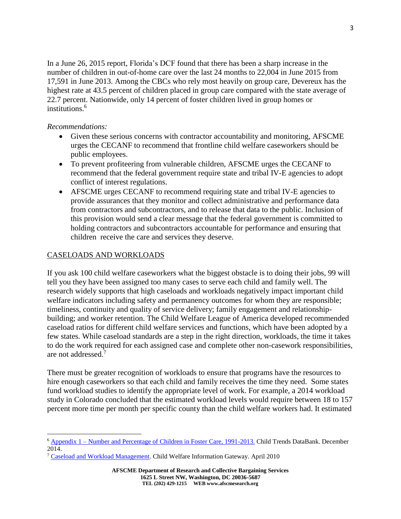In a June 26, 2015 report, Florida's DCF found that there has been a sharp increase in the number of children in out-of-home care over the last 24 months to 22,004 in June 2015 from 17,591 in June 2013. Among the CBCs who rely most heavily on group care, Devereux has the highest rate at 43.5 percent of children placed in group care compared with the state average of 22.7 percent. Nationwide, only 14 percent of foster children lived in group homes or institutions.<sup>6</sup>

#### *Recommendations:*

 $\overline{a}$ 

- Given these serious concerns with contractor accountability and monitoring, AFSCME urges the CECANF to recommend that frontline child welfare caseworkers should be public employees.
- To prevent profiteering from vulnerable children, AFSCME urges the CECANF to recommend that the federal government require state and tribal IV-E agencies to adopt conflict of interest regulations.
- AFSCME urges CECANF to recommend requiring state and tribal IV-E agencies to provide assurances that they monitor and collect administrative and performance data from contractors and subcontractors, and to release that data to the public. Inclusion of this provision would send a clear message that the federal government is committed to holding contractors and subcontractors accountable for performance and ensuring that children receive the care and services they deserve.

# CASELOADS AND WORKLOADS

If you ask 100 child welfare caseworkers what the biggest obstacle is to doing their jobs, 99 will tell you they have been assigned too many cases to serve each child and family well. The research widely supports that high caseloads and workloads negatively impact important child welfare indicators including safety and permanency outcomes for whom they are responsible; timeliness, continuity and quality of service delivery; family engagement and relationshipbuilding; and worker retention. The Child Welfare League of America developed recommended caseload ratios for different child welfare services and functions, which have been adopted by a few states. While caseload standards are a step in the right direction, workloads, the time it takes to do the work required for each assigned case and complete other non-casework responsibilities, are not addressed.<sup>7</sup>

There must be greater recognition of workloads to ensure that programs have the resources to hire enough caseworkers so that each child and family receives the time they need. Some states fund workload studies to identify the appropriate level of work. For example, a 2014 workload study in Colorado concluded that the estimated workload levels would require between 18 to 157 percent more time per month per specific county than the child welfare workers had. It estimated

<sup>6</sup> Appendix 1 – [Number and Percentage of Children in Foster Care, 1991-2013.](http://www.childtrends.org/wp-content/uploads/2014/07/12_appendix1.pdf) Child Trends DataBank. December 2014.

<sup>7</sup> [Caseload and Workload Management.](https://www.childwelfare.gov/pubPDFs/case_work_management.pdf) Child Welfare Information Gateway. April 2010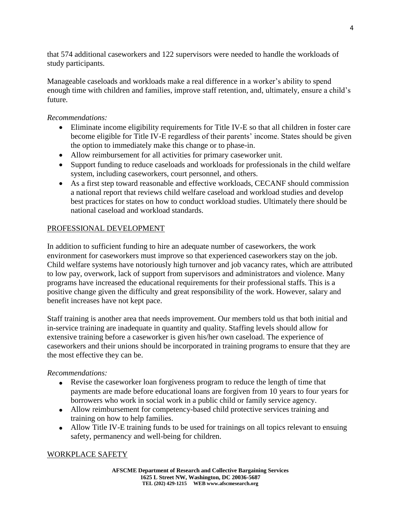that 574 additional caseworkers and 122 supervisors were needed to handle the workloads of study participants.

Manageable caseloads and workloads make a real difference in a worker's ability to spend enough time with children and families, improve staff retention, and, ultimately, ensure a child's future.

#### *Recommendations:*

- Eliminate income eligibility requirements for Title IV-E so that all children in foster care become eligible for Title IV-E regardless of their parents' income. States should be given the option to immediately make this change or to phase-in.
- Allow reimbursement for all activities for primary caseworker unit.
- Support funding to reduce caseloads and workloads for professionals in the child welfare system, including caseworkers, court personnel, and others.
- As a first step toward reasonable and effective workloads, CECANF should commission a national report that reviews child welfare caseload and workload studies and develop best practices for states on how to conduct workload studies. Ultimately there should be national caseload and workload standards.

# PROFESSIONAL DEVELOPMENT

In addition to sufficient funding to hire an adequate number of caseworkers, the work environment for caseworkers must improve so that experienced caseworkers stay on the job. Child welfare systems have notoriously high turnover and job vacancy rates, which are attributed to low pay, overwork, lack of support from supervisors and administrators and violence. Many programs have increased the educational requirements for their professional staffs. This is a positive change given the difficulty and great responsibility of the work. However, salary and benefit increases have not kept pace.

Staff training is another area that needs improvement. Our members told us that both initial and in-service training are inadequate in quantity and quality. Staffing levels should allow for extensive training before a caseworker is given his/her own caseload. The experience of caseworkers and their unions should be incorporated in training programs to ensure that they are the most effective they can be.

# *Recommendations:*

- Revise the caseworker loan forgiveness program to reduce the length of time that payments are made before educational loans are forgiven from 10 years to four years for borrowers who work in social work in a public child or family service agency.
- Allow reimbursement for competency-based child protective services training and training on how to help families.
- Allow Title IV-E training funds to be used for trainings on all topics relevant to ensuing safety, permanency and well-being for children.

# WORKPLACE SAFETY